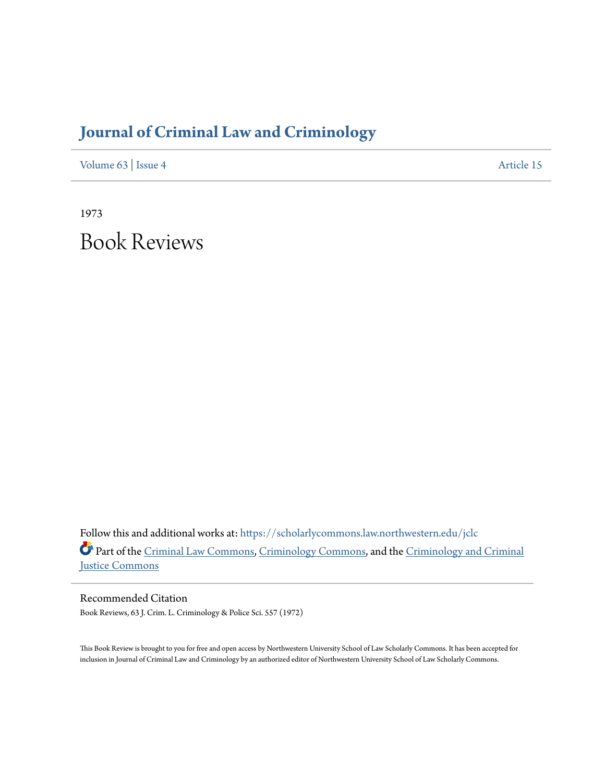## **[Journal of Criminal Law and Criminology](https://scholarlycommons.law.northwestern.edu/jclc?utm_source=scholarlycommons.law.northwestern.edu%2Fjclc%2Fvol63%2Fiss4%2F15&utm_medium=PDF&utm_campaign=PDFCoverPages)**

[Volume 63](https://scholarlycommons.law.northwestern.edu/jclc/vol63?utm_source=scholarlycommons.law.northwestern.edu%2Fjclc%2Fvol63%2Fiss4%2F15&utm_medium=PDF&utm_campaign=PDFCoverPages) | [Issue 4](https://scholarlycommons.law.northwestern.edu/jclc/vol63/iss4?utm_source=scholarlycommons.law.northwestern.edu%2Fjclc%2Fvol63%2Fiss4%2F15&utm_medium=PDF&utm_campaign=PDFCoverPages) [Article 15](https://scholarlycommons.law.northwestern.edu/jclc/vol63/iss4/15?utm_source=scholarlycommons.law.northwestern.edu%2Fjclc%2Fvol63%2Fiss4%2F15&utm_medium=PDF&utm_campaign=PDFCoverPages)

1973 Book Reviews

Follow this and additional works at: [https://scholarlycommons.law.northwestern.edu/jclc](https://scholarlycommons.law.northwestern.edu/jclc?utm_source=scholarlycommons.law.northwestern.edu%2Fjclc%2Fvol63%2Fiss4%2F15&utm_medium=PDF&utm_campaign=PDFCoverPages) Part of the [Criminal Law Commons](http://network.bepress.com/hgg/discipline/912?utm_source=scholarlycommons.law.northwestern.edu%2Fjclc%2Fvol63%2Fiss4%2F15&utm_medium=PDF&utm_campaign=PDFCoverPages), [Criminology Commons](http://network.bepress.com/hgg/discipline/417?utm_source=scholarlycommons.law.northwestern.edu%2Fjclc%2Fvol63%2Fiss4%2F15&utm_medium=PDF&utm_campaign=PDFCoverPages), and the [Criminology and Criminal](http://network.bepress.com/hgg/discipline/367?utm_source=scholarlycommons.law.northwestern.edu%2Fjclc%2Fvol63%2Fiss4%2F15&utm_medium=PDF&utm_campaign=PDFCoverPages) [Justice Commons](http://network.bepress.com/hgg/discipline/367?utm_source=scholarlycommons.law.northwestern.edu%2Fjclc%2Fvol63%2Fiss4%2F15&utm_medium=PDF&utm_campaign=PDFCoverPages)

Recommended Citation Book Reviews, 63 J. Crim. L. Criminology & Police Sci. 557 (1972)

This Book Review is brought to you for free and open access by Northwestern University School of Law Scholarly Commons. It has been accepted for inclusion in Journal of Criminal Law and Criminology by an authorized editor of Northwestern University School of Law Scholarly Commons.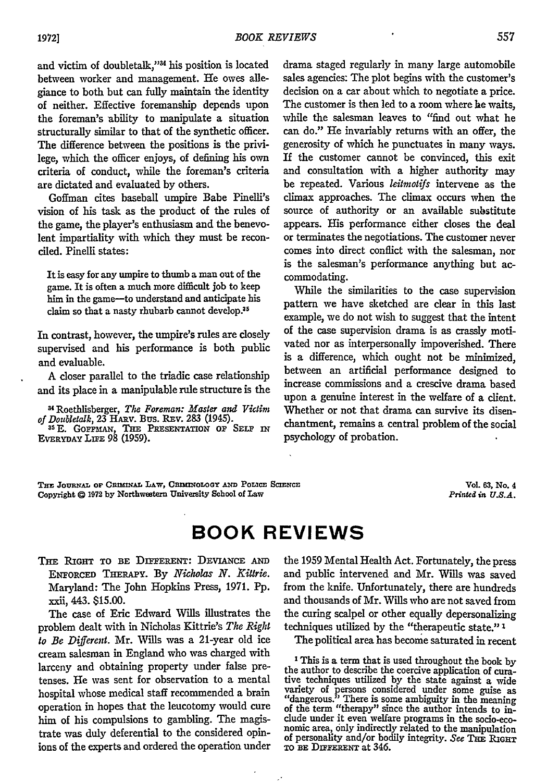and victim of doubletalk,"<sup>34</sup> his position is located between worker and management. He owes allegiance to both but can fully maintain the identity of neither. Effective foremanship depends upon the foreman's ability to manipulate a situation structurally similar to that of the synthetic officer. The difference between the positions is the privilege, which the officer enjoys, of defining his own criteria of conduct, while the foreman's criteria are dictated and evaluated by others.

Goffman cites baseball umpire Babe Pinelli's vision of his task as the product of the rules of the game, the player's enthusiasm and the benevolent impartiality with which they must be reconciled. Pinelli states:

It is easy for any umpire to thumb a man out of the game. It is often a much more difficult job to keep him in the game-to understand and anticipate his claim so that a nasty rhubarb cannot develop."6

In contrast, however, the umpire's rules are closely supervised and his performance is both public and evaluable.

A closer parallel to the triadic case relationship and its place in a manipulable rule structure is the

4 Roethlisberger, *The Foreman: Master and Victim of Doubletalk,* **23** HAZv. Bus. RFv. **283** (1945). **35 E. GoFFmAN, THE PRESENTATION OF SELF IN** EvERYDAY LIFE **98** (1959).

drama staged regularly in many large automobile sales agencies: The plot begins with the customer's decision on a car about which to negotiate a price. The customer is then led to a room where he waits, while the salesman leaves to "find out what he can do." He invariably returns with an offer, the generosity of which he punctuates in many ways. If the customer cannot be convinced, this exit and consultation with a higher authority may be repeated. Various *leitmotifs* intervene as the climax approaches. The climax occurs when the source of authority or an available substitute appears. His performance either closes the deal or terminates the negotiations. The customer never comes into direct conflict with the salesman, nor is the salesman's performance anything but accommodating.

While the similarities to the case supervision pattern we have sketched are clear in this last example, we do not wish to suggest that the intent of the case supervision drama is as crassly motivated nor as interpersonally impoverished. There is a difference, which ought not be minimized, between an artificial performance designed to increase commissions and a crescive drama based upon a genuine interest in the welfare of a client. Whether or not that drama can survive its disenchantment, remains a central problem of the social psychology of probation.

THE JOURNAL OF CRIMINAL LAW, CRIMINOLOGY AND POLICE SCIENCE **Copyright** *C* **1972 by Northwestern University School of Law**

**Vol. 63, No. 4** *Printed in U.S.A.*

## **BOOK REVIEWS**

THE RIGHT TO BE DIFFERENT: DEVIANCE AND **ENFORCED THEPAPY.** By *Nicholas N. Kittrie.* Maryland: The John Hopkins Press, 1971. **Pp.** xxii, 443. \$15.00.

The case of Eric Edward Wills illustrates the problem dealt with in Nicholas Kittrie's *The Right to Be Different.* Mr. Wills was a 21-year old ice cream salesman in England who was charged with larceny and obtaining property under false pretenses. He was sent for observation to a mental hospital whose medical staff recommended a brain operation in hopes that the leucotomy would cure him of his compulsions to gambling. The magistrate was duly deferential to the considered opinions of the experts and ordered the operation under

the 1959 Mental Health Act. Fortunately, the press and public intervened and Mr. Wills was saved from the knife. Unfortunately, there are hundreds and thousands of Mr. Wills who are not saved from the curing scalpel or other equally depersonalizing techniques utilized by the "therapeutic state." **I**

The political area has become saturated in recent

**I** This is a term that is used throughout the book by the author to describe the coercive application of cura- tive techniques utilized by the state against a wide variety of persons considered under some guise as<br>"dangerous." There is some ambiguity in the meaning of the term "therapy" since the author intends to include under it even welfare programs in the socio-economic area, only indirectly related to the manipulation of personality and/or bodily integrity. See THE RIGHT TO BE DIFFERENT at 346.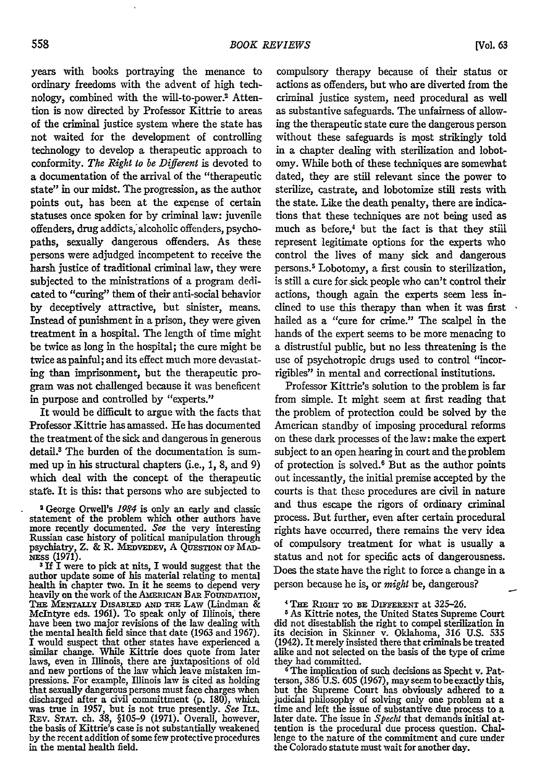years with books portraying the menance to ordinary freedoms with the advent of high technology, combined with the will-to-power.2 Attention is now directed by Professor Kittrie to areas of the criminal justice system where the state has not waited for the development of controlling technology to develop a therapeutic approach to conformity. *The Right to be Different* is devoted to a documentation of the arrival of the "therapeutic state" in our midst. The progression, as the author points out, has been at the expense of certain statuses once spoken for by criminal law: juvenile offenders, drug addicts, alcoholic offenders, psychopaths, sexually dangerous offenders. As these persons were adjudged incompetent to receive the harsh justice of traditional criminal law, they were subjected to the ministrations of a program dedicated to "curing" them of their anti-social behavior by deceptively attractive, but sinister, means. Instead of punishment in a prison, they were given treatment in a hospital. The length of time might be twice as long in the hospital; the cure might be twice as painful; and its effect much more devastating than imprisonment, but the therapeutic program was not challenged because it was beneficent in purpose and controlled by "experts."

It would be difficult to argue with the facts that Professor Xittrie has amassed. He has documented the treatment of the sick and dangerous in generous detail.3 The burden of the documentation is summed up in his structural chapters (i.e., 1, 8, and 9) which deal with the concept of the therapeutic state. It is this: that persons who are subjected to

<sup>2</sup> George Orwell's *1984* is only an early and classic statement of the problem which other authors have<br>more recently documented. See the very interesting<br>Russian case history of political manipulation through<br>psychiatry, Z. & R. MEDVEDEV, A QUESTION OF MAD-<br>NESS (1971).

**3** If I were to pick at nits, I would suggest that the author update some of his material relating to mental health in chapter two. In it he seems to depend very heavily on the work of the AMERICAN BAR FOUNDATION, **THE MENTALLY** DisABLED **AND TE LAW** (Lindman & McIntyre eds. 1961). To speak only of Illinois, there have been two major revisions of the law dealing with the mental health field since that date (1963 and 1967). I would suspect that other states have experienced a similar change. While Kittrie does quote from later laws, even in Illinois, there are juxtapositions of old and new portions of the law which leave mistaken impressions. For example, Illinois law is cited as holding that sexually dangerous persons must face charges when discharged after a civil committment (p. 180), which<br>was true in 1957, but is not true presently. See II.L.<br>REV. STAT. ch. 38, §105-9 (1971). Overall, however,<br>the basis of Kittrie's case is not substantially weakened by the recent addition of some few protective procedures in the mental health field.

compulsory therapy because of their status or actions as offenders, but who are diverted from the criminal justice system, need procedural as well as substantive safeguards. The unfairness of allowing the therapeutic state cure the dangerous person without these safeguards is most strikingly told in a chapter dealing with sterilization and lobotomy. While both of these techniques are somewhat dated, they are still relevant since the power to sterilize, castrate, and lobotomize still rests with the state. Like the death penalty, there are indications that these techniques are not being used as much as before,4 but the fact is that they still represent legitimate options for the experts who control the lives of many sick and dangerous persons.5 Lobotomy, a first cousin to sterilization, is still a cure for sick people who can't control their actions, though again the experts seem less inclined to use this therapy than when it was first  $\cdot$ hailed as a "cure for crime." The scalpel in the hands of the expert seems to be more menacing to a distrustful public, but no less threatening is the use of psychotropic drugs used to control "incorrigibles" in mental and correctional institutions.

Professor Kittrie's solution to the problem is far from simple. It might seem at first reading that the problem of protection could be solved by the American standby of imposing procedural reforms on these dark processes of the law: make the expert subject to an open hearing in court and the problem of protection is solved.<sup>6</sup> But as the author points out incessantly, the initial premise accepted by the courts is that these procedures are civil in nature and thus escape the rigors of ordinary criminal process. But further, even after certain procedural rights have occurred, there remains the very idea of compulsory treatment for what is usually a status and not for specific acts of dangerousness. Does the state have the right to force a change in a person because he is, or *might* be, dangerous?

'THE **RIGHT** TO BE DIFFERENT at 325-26.

As Kittrie notes, the United States Supreme Court did not disestablish the right to compel sterilization in its decision in Skinner v. Oklahoma, 316 U.S. **535** (1942). It merely insisted there that criminals be treated alike and not selected on the basis of the type of crime they had committed.

**6** The implication of such decisions as Specht v. Patterson, 386 U.S. 605 (1967), may seem to be exactly this, but the Supreme Court has obviously adhered to a judicial philosophy of solving only one problem at a time and left the issue of substantive due process to a later date. The issue in *Specht* that demands initial attention is the procedural due process question. Challenge to the nature of the commitment and cure under the Colorado statute must wait for another day.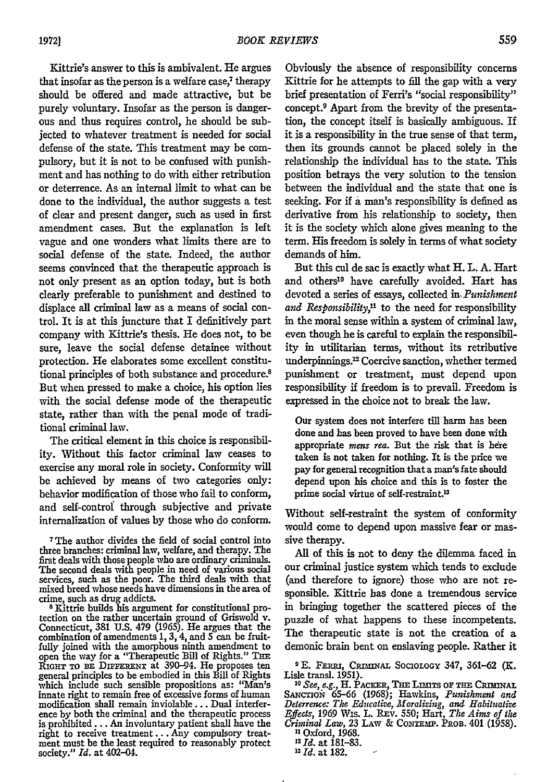Kittrie's answer to this is ambivalent. He argues that insofar as the person is a welfare case,7 therapy should be offered and made attractive, but be purely voluntary. Insofar as the person is dangerous and thus requires control, he should be subjected to whatever treatment is needed for social defense of the state. This treatment may be compulsory, but it is not to be confused with punishment and has nothing to do with either retribution or deterrence. As an internal limit to what can be done to the individual, the author suggests a test of clear and present danger, such as used in first amendment cases. But the explanation is left vague and one wonders what limits there are to social defense of the state. Indeed, the author seems convinced that the therapeutic approach is not only present as an option today, but is both clearly preferable to punishment and destined to displace all criminal law as a means of social control. It is at this juncture that I definitively part company with Kittrie's thesis. He does not, to be sure, leave the social defense detainee without protection. He elaborates some excellent constitutional principles of both substance and procedure.' But when pressed to make a choice, his option lies with the social defense mode of the therapeutic state, rather than with the penal mode of traditional criminal law.

The critical element in this choice is responsibility. Without this factor criminal law ceases to exercise any moral role in society. Conformity will be achieved by means of two categories only: behavior modification of those who fail to conform, and self-controf through subjective and private internalization of values by those who do conform.

7The author divides the field of social control into three branches: criminal law, welfare, and therapy. The first deals with those people who are ordinary criminals. The second deals with people in need of various social services, such as the poor. The third deals with that mixed breed whose needs have dimensions in the area of crime, such as drug addicts. **<sup>8</sup>**Kittrie builds his argument for constitutional pro-

tection on the rather uncertain ground of Griswold v. Connecticut, 381 U.S. 479 (1965). He argues that the combination of amendments **1, 3,** 4, and 5 can be fruitfully joined with the amorphous ninth amendment to open the way for a "Therapeutic Bill of Rights." TnE **RIGHT TO BE DIFFERENT** at 390-94. He proposes ten general principles to be embodied in this Bill of Rights which include such sensible propositions as: "Man's innate right to remain free of excessive forms of human modification shall remain inviolable... Dual interfer-<br>ence by both the criminal and the therapeutic process<br>is prohibited ... An involuntary patient shall have the right to receive treatment... Any compulsory treatment must be the least required to reasonably protect society." *Id.* at 402-04.

Obviously the absence of responsibility concerns Kittrie for he attempts to fill the gap with a very brief presentation of Ferri's "social responsibility" concept.9 Apart from the brevity of the presentation, the concept itself is basically ambiguous. If it is a responsibility in the true sense of that term, then its grounds cannot be placed solely in the relationship the individual has to the state. This position betrays the very solution to the tension between the individual and the state that one is seeking. For **if** a man's responsibility is defined as derivative from his relationship to society, then it is the society which alone gives meaning to the term. His freedom is solely in terms of what society demands of him.

But this cul de sac is exactly what H. L. A. Hart and others<sup>10</sup> have carefully avoided. Hart has devoted a series of essays, collected *in. Punishment and Responsibility,"* to the need for responsibility in the moral sense within a system of criminal law, even though he is careful to explain the responsibility in utilitarian terms, without its retributive underpinnings." Coercive sanction, whether termed punishment or treatment, must depend upon responsibility if freedom is to prevail. Freedom is expressed in the choice not to break the law.

Our system does not interfere till harm has been done and has been proved to have been done with appropriate *mens rea*. But the risk that is here taken is not taken for nothing. It is the price we pay for general recognition that a man's fate should depend upon his choice and this is to foster the prime social virtue of self-restraint.13

Without self-restraint the system of conformity would come to depend upon massive fear or massive therapy.

All of this is not to deny the dilemma faced in our criminal justice system which tends to exclude (and therefore to ignore) those who are not responsible. Kittrie has done a tremendous service in bringing together the scattered pieces of the puzzle of what happens to these incompetents. The therapeutic state is not the creation of a demonic brain bent on enslaving people. Rather it

**9 E.** FERRI, CRInnNAL **SocIOLoGY** 347, **361-62** (K. Lisle transl. 1951).<br><sup>30</sup>*See, e.g.*, H. PACKER, THE LIMITS OF THE CRIMINAL

SANCTION 65-66 (1968); Hawkins, *Punishment and Deterrence: The Educative, Moralizing, and Habituative Effects,* 1969 Wxs. L. REv. 550; Hart, *The Aims of the Criminal Law,* 23 LAW & **CON1EMP.** PROB. 401 (1958).

*13 Id.* at **182.**

n Oxford, 1968. <sup>12</sup>*Id.* at **181-83.**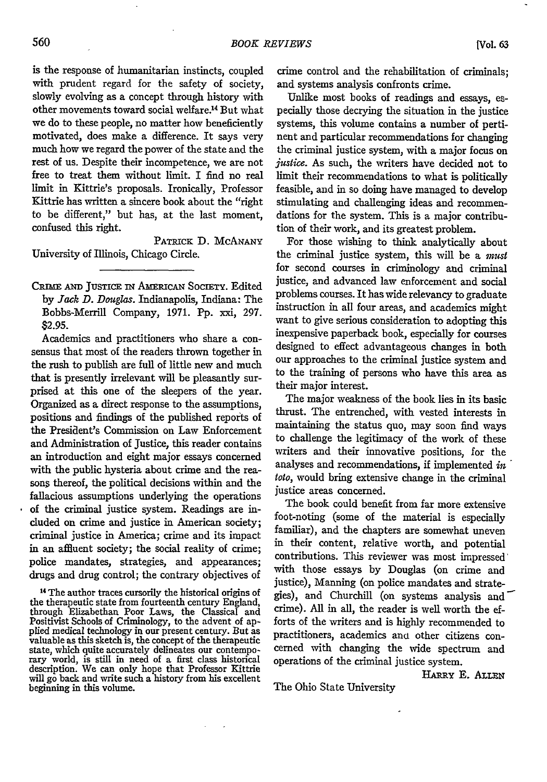is the response of humanitarian instincts, coupled with prudent regard for the safety of society, slowly evolving as a concept through history with other movements toward social welfare.<sup>14</sup> But what we do to these people, no matter how beneficiently motivated, does make a difference. It says very much how we regard the power of the state and the rest of us. Despite their incompetence, we are not free to treat them without limit. I find no real limit in Kittrie's proposals. Ironically, Professor Kittrie has written a sincere book about the "right to be different," but has, at the last moment, confused this right.

PATRICK D. MCANANY University of Illinois, Chicago Circle.

**CRIME AND JUSTICE IN AMERICAN SOCIETY. Edited** by *Jack D. Douglas.* Indianapolis, Indiana: The Bobbs-Merrill Company, 1971. Pp. xxi, 297. \$2.95.

Academics and practitioners who share a consensus that most of the readers thrown together in the rush to publish are full of little new and much that is presently irrelevant will be pleasantly surprised at this one of the sleepers of the year. Organized as a direct response to the assumptions, positions and findings of the published reports of the President's Commission on Law Enforcement and Administration of Justice, this reader contains an introduction and eight major essays concerned with the public hysteria about crime and the reasons thereof, the political decisions within and the fallacious assumptions underlying the operations of the criminal justice system. Readings are included on crime and justice in American society; criminal justice in America; crime and its impact in an affluent society; the social reality of crime; police mandates, strategies, and appearances; drugs and drug control; the contrary objectives of

<sup>14</sup> The author traces cursorily the historical origins of the therapeutic state from fourteenth century England, through Elizabethan Poor Laws, the Classical and Positivist Schools of Criminology, to the advent of applied medical technology in our present century. But as valuable as this sketch is, the concept of the therapeutic state, which quite accurately delineates our contempo state, which quite accurately delineates our contemporary world, is still in need of a first class historical description. We can only hope that Professor Kittrie will go back and write such a history from his excellent beginning in this volume.

crime control and the rehabilitation of criminals; and systems analysis confronts crime.

Unlike most books of readings and essays, especially those decrying the situation in the justice systems, this volume contains a number of pertinent and particular recommendations for changing the criminal justice system, with a major focus on justice. As such, the writers have decided not to limit their recommendations to what is politically feasible, and in so doing have managed to develop stimulating and challenging ideas and recommendations for the system. This is a major contribution of their work, and its greatest problem.

For those wishing to think analytically about the criminal justice system, this will be a *must* for second courses in criminology and criminal justice, and advanced law enforcement and social problems courses. It has wide relevancy to graduate instruction in all four areas, and academics might want to give serious consideration to adopting this inexpensive paperback book, especially for courses designed to effect advantageous changes in both our approaches to the criminal justice system and to the training of persons who have this area as their major interest.

The major weakness of the book lies in its basic thrust. The entrenched, with vested interests in maintaining the status quo, may soon find ways to challenge the legitimacy of the work of these writers and their innovative positions, for the analyses and recommendations, if implemented *in tolo,* would bring extensive change in the criminal justice areas concerned.

The book could benefit from far more extensive foot-noting (some of the material is especially familiar), and the chapters are somewhat uneven in their content, relative worth, and potential contributions. This reviewer was most impressed' with those essays by Douglas (on crime and justice), Manning (on police mandates and strategies), and Churchill (on systems analysis and crime). All in all, the reader is well worth the efforts of the writers and is highly recommended to practitioners, academics ana other citizens concerned with changing the wide spectrum and operations of the criminal justice system.

**HAaRY** E. AtLrN

The Ohio State University